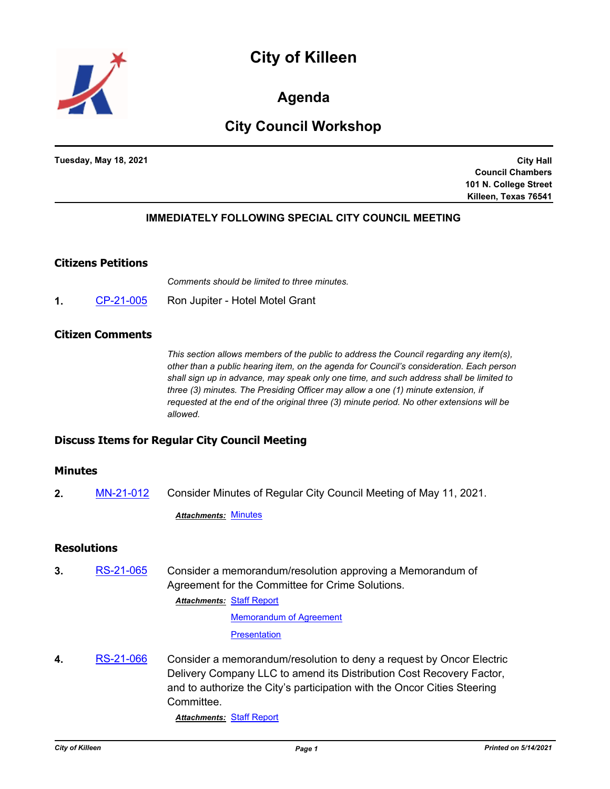# **City of Killeen**



**Agenda**

# **City Council Workshop**

**Tuesday, May 18, 2021**

**City Hall Council Chambers 101 N. College Street Killeen, Texas 76541**

# **IMMEDIATELY FOLLOWING SPECIAL CITY COUNCIL MEETING**

#### **Citizens Petitions**

*Comments should be limited to three minutes.*

**1.** [CP-21-005](http://killeen.legistar.com/gateway.aspx?m=l&id=/matter.aspx?key=5470) Ron Jupiter - Hotel Motel Grant

#### **Citizen Comments**

*This section allows members of the public to address the Council regarding any item(s), other than a public hearing item, on the agenda for Council's consideration. Each person shall sign up in advance, may speak only one time, and such address shall be limited to three (3) minutes. The Presiding Officer may allow a one (1) minute extension, if requested at the end of the original three (3) minute period. No other extensions will be allowed.*

#### **Discuss Items for Regular City Council Meeting**

#### **Minutes**

**2.** [MN-21-012](http://killeen.legistar.com/gateway.aspx?m=l&id=/matter.aspx?key=5472) Consider Minutes of Regular City Council Meeting of May 11, 2021.

*Attachments:* [Minutes](http://killeen.legistar.com/gateway.aspx?M=F&ID=e12ec0f5-ecd9-4162-bf49-30a769b26f1a.pdf)

## **Resolutions**

**3.** [RS-21-065](http://killeen.legistar.com/gateway.aspx?m=l&id=/matter.aspx?key=5426) Consider a memorandum/resolution approving a Memorandum of Agreement for the Committee for Crime Solutions.

**Attachments: [Staff Report](http://killeen.legistar.com/gateway.aspx?M=F&ID=d927902f-864a-484e-a7da-459d1e78826a.pdf)** 

[Memorandum of Agreement](http://killeen.legistar.com/gateway.aspx?M=F&ID=4d5c452e-fd72-48e1-8cd4-7c6ae3f1b233.pdf)

**[Presentation](http://killeen.legistar.com/gateway.aspx?M=F&ID=c3af0746-a13a-46cf-841f-f32bd8f08e51.pdf)** 

**4.** [RS-21-066](http://killeen.legistar.com/gateway.aspx?m=l&id=/matter.aspx?key=5468) Consider a memorandum/resolution to deny a request by Oncor Electric Delivery Company LLC to amend its Distribution Cost Recovery Factor, and to authorize the City's participation with the Oncor Cities Steering Committee.

*Attachments:* [Staff Report](http://killeen.legistar.com/gateway.aspx?M=F&ID=9c55e70a-3747-4d3d-9a56-91d26329c9f9.pdf)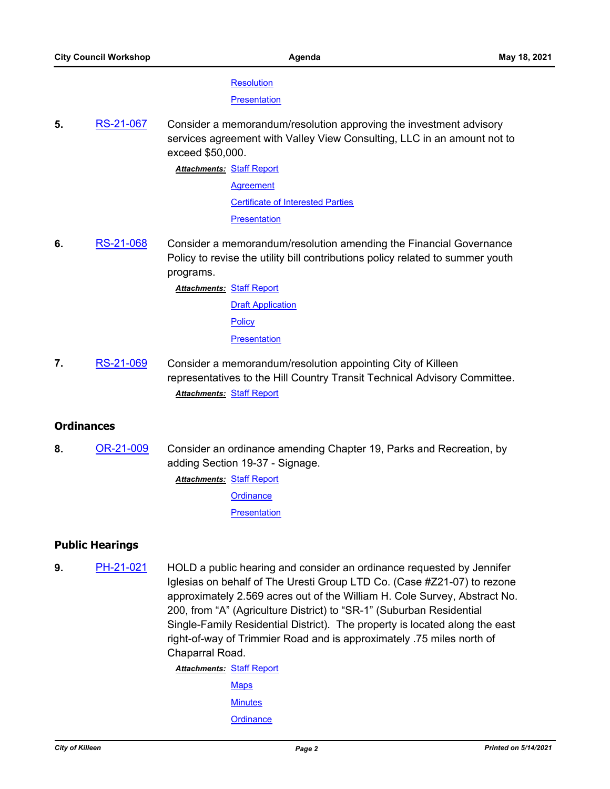#### **[Resolution](http://killeen.legistar.com/gateway.aspx?M=F&ID=99c467b8-2eeb-4ddf-81ad-63726d0e845d.pdf)**

**[Presentation](http://killeen.legistar.com/gateway.aspx?M=F&ID=639756fa-d29a-4c59-b7c7-fe39fe367076.pdf)** 

**5.** [RS-21-067](http://killeen.legistar.com/gateway.aspx?m=l&id=/matter.aspx?key=5462) Consider a memorandum/resolution approving the investment advisory services agreement with Valley View Consulting, LLC in an amount not to exceed \$50,000.

> **Attachments: [Staff Report](http://killeen.legistar.com/gateway.aspx?M=F&ID=f82b9194-c34c-46cd-a3cd-ec4516ecbc3c.pdf) [Agreement](http://killeen.legistar.com/gateway.aspx?M=F&ID=7df49f8b-833f-4c5c-ae82-c67681f4ef63.pdf)** [Certificate of Interested Parties](http://killeen.legistar.com/gateway.aspx?M=F&ID=4aad5f51-3e17-41ca-9edf-92d9592aa259.pdf) [Presentation](http://killeen.legistar.com/gateway.aspx?M=F&ID=bb4da292-46d3-4608-b228-108374568a0a.pdf)

**6.** [RS-21-068](http://killeen.legistar.com/gateway.aspx?m=l&id=/matter.aspx?key=5405) Consider a memorandum/resolution amending the Financial Governance Policy to revise the utility bill contributions policy related to summer youth programs.

> **Attachments: [Staff Report](http://killeen.legistar.com/gateway.aspx?M=F&ID=087a5a34-5d39-4b71-8916-cece0efe06c4.pdf)** [Draft Application](http://killeen.legistar.com/gateway.aspx?M=F&ID=7bda8ea3-8ee6-47e7-8c4d-ee6fd3aa2d2d.pdf)

**[Policy](http://killeen.legistar.com/gateway.aspx?M=F&ID=ea3e7f24-86c3-4456-9549-e1e107a0c0ed.pdf)** 

**[Presentation](http://killeen.legistar.com/gateway.aspx?M=F&ID=8539ed06-b4b7-4af4-8357-46b4505d9ced.pdf)** 

**7.** [RS-21-069](http://killeen.legistar.com/gateway.aspx?m=l&id=/matter.aspx?key=5485) Consider a memorandum/resolution appointing City of Killeen representatives to the Hill Country Transit Technical Advisory Committee. *Attachments:* [Staff Report](http://killeen.legistar.com/gateway.aspx?M=F&ID=7fd56fe4-d338-441a-bbf1-884c89e8fbf9.pdf)

#### **Ordinances**

- **8.** [OR-21-009](http://killeen.legistar.com/gateway.aspx?m=l&id=/matter.aspx?key=5417) Consider an ordinance amending Chapter 19, Parks and Recreation, by adding Section 19-37 - Signage. **Attachments: [Staff Report](http://killeen.legistar.com/gateway.aspx?M=F&ID=daf5b8bc-3a91-4b21-9a9a-68c50e607b21.pdf)** 
	- **[Ordinance](http://killeen.legistar.com/gateway.aspx?M=F&ID=0e9ab12f-6207-4246-bb89-2d3b35acda4c.pdf) [Presentation](http://killeen.legistar.com/gateway.aspx?M=F&ID=64d5790c-9bd1-4ebd-9d49-735e35dbfedc.pdf)**

# **Public Hearings**

**9.** [PH-21-021](http://killeen.legistar.com/gateway.aspx?m=l&id=/matter.aspx?key=5414) HOLD a public hearing and consider an ordinance requested by Jennifer Iglesias on behalf of The Uresti Group LTD Co. (Case #Z21-07) to rezone approximately 2.569 acres out of the William H. Cole Survey, Abstract No. 200, from "A" (Agriculture District) to "SR-1" (Suburban Residential Single-Family Residential District). The property is located along the east right-of-way of Trimmier Road and is approximately .75 miles north of Chaparral Road.

> **Attachments: [Staff Report](http://killeen.legistar.com/gateway.aspx?M=F&ID=71de6e4b-7d2d-43b4-8368-e2c559d7133b.pdf) [Maps](http://killeen.legistar.com/gateway.aspx?M=F&ID=d8e4e707-70ba-474a-a11d-ef47395b266f.pdf)**

**[Minutes](http://killeen.legistar.com/gateway.aspx?M=F&ID=624044ea-e03d-4ec5-befa-42933e0b654e.pdf)** 

**[Ordinance](http://killeen.legistar.com/gateway.aspx?M=F&ID=bbb94fd3-0980-4846-87b3-59cfaf86b896.pdf)**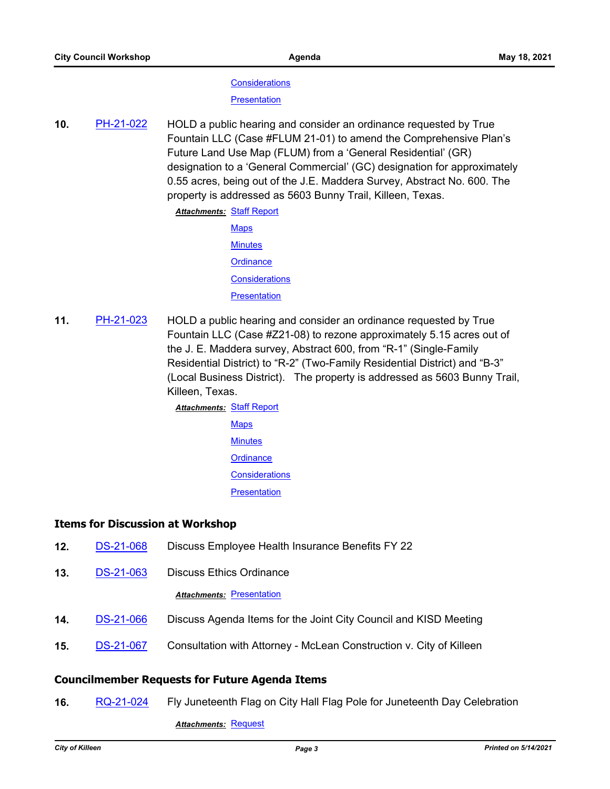#### **[Considerations](http://killeen.legistar.com/gateway.aspx?M=F&ID=477e9032-0688-4fcf-8a90-6d51b8fd99b1.pdf)**

**[Presentation](http://killeen.legistar.com/gateway.aspx?M=F&ID=caebec27-cbf5-49c1-81be-3b1ea6e9922c.pdf)** 

**10.** [PH-21-022](http://killeen.legistar.com/gateway.aspx?m=l&id=/matter.aspx?key=5465) HOLD a public hearing and consider an ordinance requested by True Fountain LLC (Case #FLUM 21-01) to amend the Comprehensive Plan's Future Land Use Map (FLUM) from a 'General Residential' (GR) designation to a 'General Commercial' (GC) designation for approximately 0.55 acres, being out of the J.E. Maddera Survey, Abstract No. 600. The property is addressed as 5603 Bunny Trail, Killeen, Texas.

**Attachments: [Staff Report](http://killeen.legistar.com/gateway.aspx?M=F&ID=7e0e7b8d-6aad-4acb-9314-ec793e9322ed.pdf)** 

- **[Maps](http://killeen.legistar.com/gateway.aspx?M=F&ID=1a84117c-ef38-4888-8d5f-2a3a41b69b06.pdf) [Minutes](http://killeen.legistar.com/gateway.aspx?M=F&ID=ec5b2351-7937-4bb6-8f8a-5c6cfaac13f8.pdf) [Ordinance](http://killeen.legistar.com/gateway.aspx?M=F&ID=ef9f2140-8e00-409c-b6de-786a894128bf.pdf) [Considerations](http://killeen.legistar.com/gateway.aspx?M=F&ID=00b4364e-154b-4228-a8bb-8679a989ca4a.pdf) [Presentation](http://killeen.legistar.com/gateway.aspx?M=F&ID=b40feb43-d60c-4cb9-9fac-4619a6f535fe.pdf)**
- **11.** [PH-21-023](http://killeen.legistar.com/gateway.aspx?m=l&id=/matter.aspx?key=5466) HOLD a public hearing and consider an ordinance requested by True Fountain LLC (Case #Z21-08) to rezone approximately 5.15 acres out of the J. E. Maddera survey, Abstract 600, from "R-1" (Single-Family Residential District) to "R-2" (Two-Family Residential District) and "B-3" (Local Business District). The property is addressed as 5603 Bunny Trail, Killeen, Texas.

**Attachments: [Staff Report](http://killeen.legistar.com/gateway.aspx?M=F&ID=2c8ab8a2-7e18-4e9f-9102-41297fc8a938.pdf)** 

- [Maps](http://killeen.legistar.com/gateway.aspx?M=F&ID=7a0ae927-87b8-4f39-8dd2-ef36abf4b409.pdf) **[Minutes](http://killeen.legistar.com/gateway.aspx?M=F&ID=58a75a00-a1de-40d9-a58d-8e93d94744ad.pdf) [Ordinance](http://killeen.legistar.com/gateway.aspx?M=F&ID=66b30885-05b3-45f1-89c7-a46d5e9bb012.pdf) [Considerations](http://killeen.legistar.com/gateway.aspx?M=F&ID=318f817d-e46b-4e25-bf77-04df1c206762.pdf)** 
	- **[Presentation](http://killeen.legistar.com/gateway.aspx?M=F&ID=ad892a9f-5e4b-43ed-ba8d-03d8e25a43f6.pdf)**

# **Items for Discussion at Workshop**

- **12.** [DS-21-068](http://killeen.legistar.com/gateway.aspx?m=l&id=/matter.aspx?key=5487) Discuss Employee Health Insurance Benefits FY 22
- **13.** [DS-21-063](http://killeen.legistar.com/gateway.aspx?m=l&id=/matter.aspx?key=5460) Discuss Ethics Ordinance

#### **Attachments: [Presentation](http://killeen.legistar.com/gateway.aspx?M=F&ID=1bf8856b-d77b-4f76-8a26-552f2b65f196.pdf)**

- **14.** [DS-21-066](http://killeen.legistar.com/gateway.aspx?m=l&id=/matter.aspx?key=5484) Discuss Agenda Items for the Joint City Council and KISD Meeting
- **15.** [DS-21-067](http://killeen.legistar.com/gateway.aspx?m=l&id=/matter.aspx?key=5473) Consultation with Attorney McLean Construction v. City of Killeen

#### **Councilmember Requests for Future Agenda Items**

**16.** [RQ-21-024](http://killeen.legistar.com/gateway.aspx?m=l&id=/matter.aspx?key=5476) Fly Juneteenth Flag on City Hall Flag Pole for Juneteenth Day Celebration

*Attachments:* [Request](http://killeen.legistar.com/gateway.aspx?M=F&ID=85255bf9-6cec-4384-8680-1b887f1aedcd.pdf)